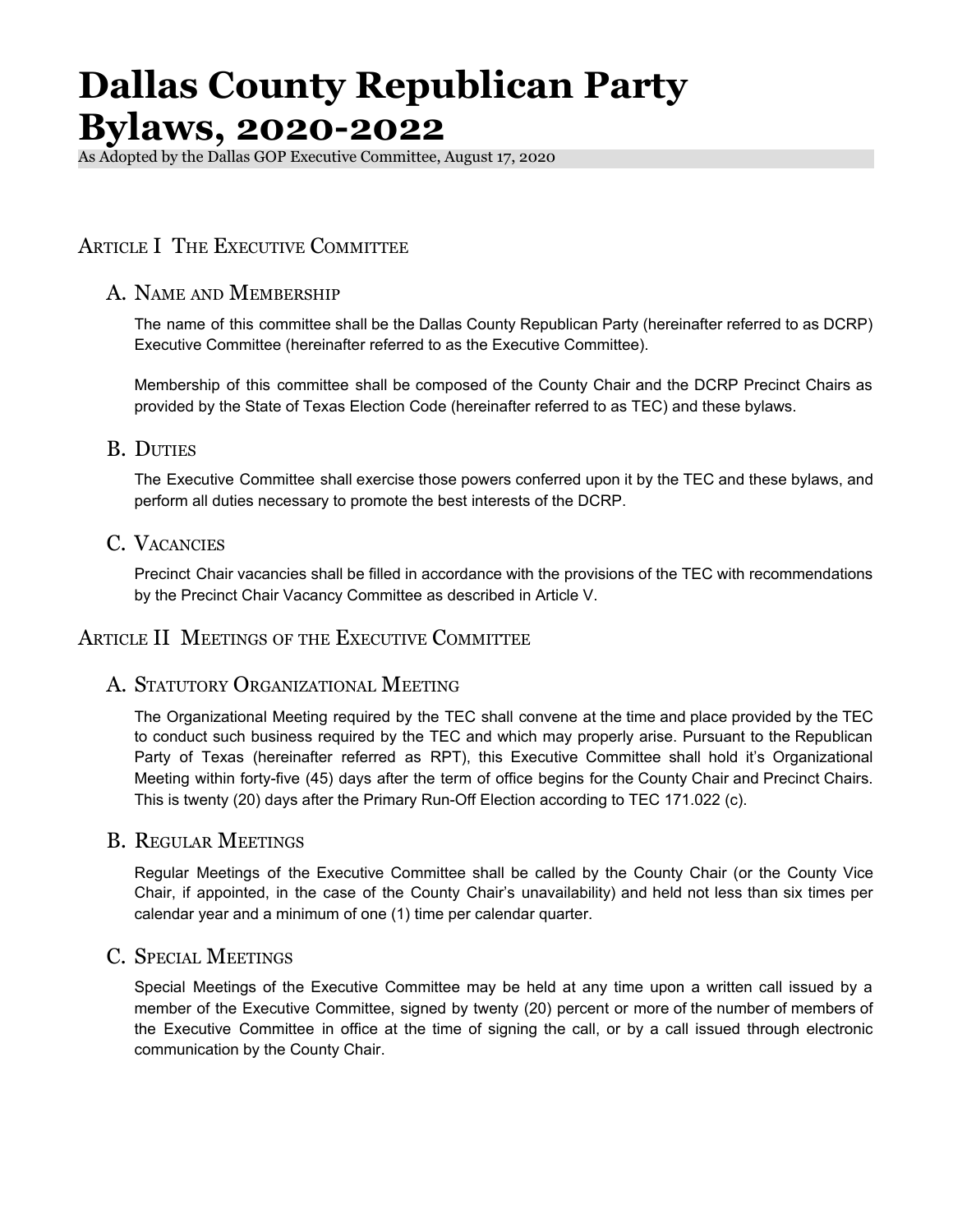As Adopted by the Dallas GOP Executive Committee, August 17, 2020

# ARTICLE I THE EXECUTIVE COMMITTEE

#### A. NAME AND MEMBERSHIP

The name of this committee shall be the Dallas County Republican Party (hereinafter referred to as DCRP) Executive Committee (hereinafter referred to as the Executive Committee).

Membership of this committee shall be composed of the County Chair and the DCRP Precinct Chairs as provided by the State of Texas Election Code (hereinafter referred to as TEC) and these bylaws.

#### B. DUTIES

The Executive Committee shall exercise those powers conferred upon it by the TEC and these bylaws, and perform all duties necessary to promote the best interests of the DCRP.

## C. VACANCIES

Precinct Chair vacancies shall be filled in accordance with the provisions of the TEC with recommendations by the Precinct Chair Vacancy Committee as described in Article V.

#### ARTICLE II MEETINGS OF THE EXECUTIVE COMMITTEE

#### A. STATUTORY ORGANIZATIONAL MEETING

The Organizational Meeting required by the TEC shall convene at the time and place provided by the TEC to conduct such business required by the TEC and which may properly arise. Pursuant to the Republican Party of Texas (hereinafter referred as RPT), this Executive Committee shall hold it's Organizational Meeting within forty-five (45) days after the term of office begins for the County Chair and Precinct Chairs. This is twenty (20) days after the Primary Run-Off Election according to TEC 171.022 (c).

#### B. REGULAR MEETINGS

Regular Meetings of the Executive Committee shall be called by the County Chair (or the County Vice Chair, if appointed, in the case of the County Chair's unavailability) and held not less than six times per calendar year and a minimum of one (1) time per calendar quarter.

#### C. SPECIAL MEETINGS

Special Meetings of the Executive Committee may be held at any time upon a written call issued by a member of the Executive Committee, signed by twenty (20) percent or more of the number of members of the Executive Committee in office at the time of signing the call, or by a call issued through electronic communication by the County Chair.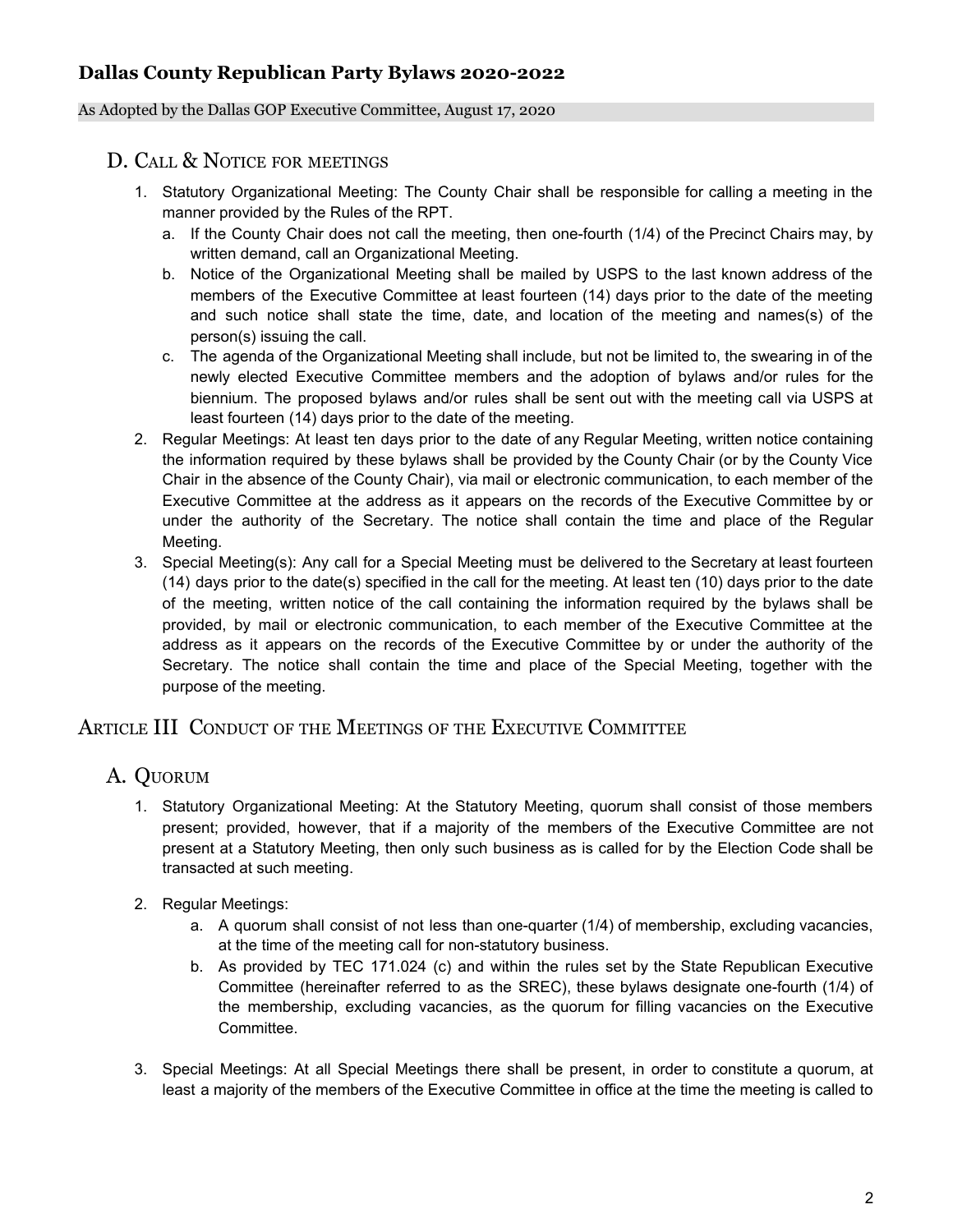#### As Adopted by the Dallas GOP Executive Committee, August 17, 2020

## D. CALL & NOTICE FOR MEETINGS

- 1. Statutory Organizational Meeting: The County Chair shall be responsible for calling a meeting in the manner provided by the Rules of the RPT.
	- a. If the County Chair does not call the meeting, then one-fourth (1/4) of the Precinct Chairs may, by written demand, call an Organizational Meeting.
	- b. Notice of the Organizational Meeting shall be mailed by USPS to the last known address of the members of the Executive Committee at least fourteen (14) days prior to the date of the meeting and such notice shall state the time, date, and location of the meeting and names(s) of the person(s) issuing the call.
	- c. The agenda of the Organizational Meeting shall include, but not be limited to, the swearing in of the newly elected Executive Committee members and the adoption of bylaws and/or rules for the biennium. The proposed bylaws and/or rules shall be sent out with the meeting call via USPS at least fourteen (14) days prior to the date of the meeting.
- 2. Regular Meetings: At least ten days prior to the date of any Regular Meeting, written notice containing the information required by these bylaws shall be provided by the County Chair (or by the County Vice Chair in the absence of the County Chair), via mail or electronic communication, to each member of the Executive Committee at the address as it appears on the records of the Executive Committee by or under the authority of the Secretary. The notice shall contain the time and place of the Regular Meeting.
- 3. Special Meeting(s): Any call for a Special Meeting must be delivered to the Secretary at least fourteen (14) days prior to the date(s) specified in the call for the meeting. At least ten (10) days prior to the date of the meeting, written notice of the call containing the information required by the bylaws shall be provided, by mail or electronic communication, to each member of the Executive Committee at the address as it appears on the records of the Executive Committee by or under the authority of the Secretary. The notice shall contain the time and place of the Special Meeting, together with the purpose of the meeting.

## ARTICLE III CONDUCT OF THE MEETINGS OF THE EXECUTIVE COMMITTEE

# A. QUORUM

- 1. Statutory Organizational Meeting: At the Statutory Meeting, quorum shall consist of those members present; provided, however, that if a majority of the members of the Executive Committee are not present at a Statutory Meeting, then only such business as is called for by the Election Code shall be transacted at such meeting.
- 2. Regular Meetings:
	- a. A quorum shall consist of not less than one-quarter (1/4) of membership, excluding vacancies, at the time of the meeting call for non-statutory business.
	- b. As provided by TEC 171.024 (c) and within the rules set by the State Republican Executive Committee (hereinafter referred to as the SREC), these bylaws designate one-fourth (1/4) of the membership, excluding vacancies, as the quorum for filling vacancies on the Executive Committee.
- 3. Special Meetings: At all Special Meetings there shall be present, in order to constitute a quorum, at least a majority of the members of the Executive Committee in office at the time the meeting is called to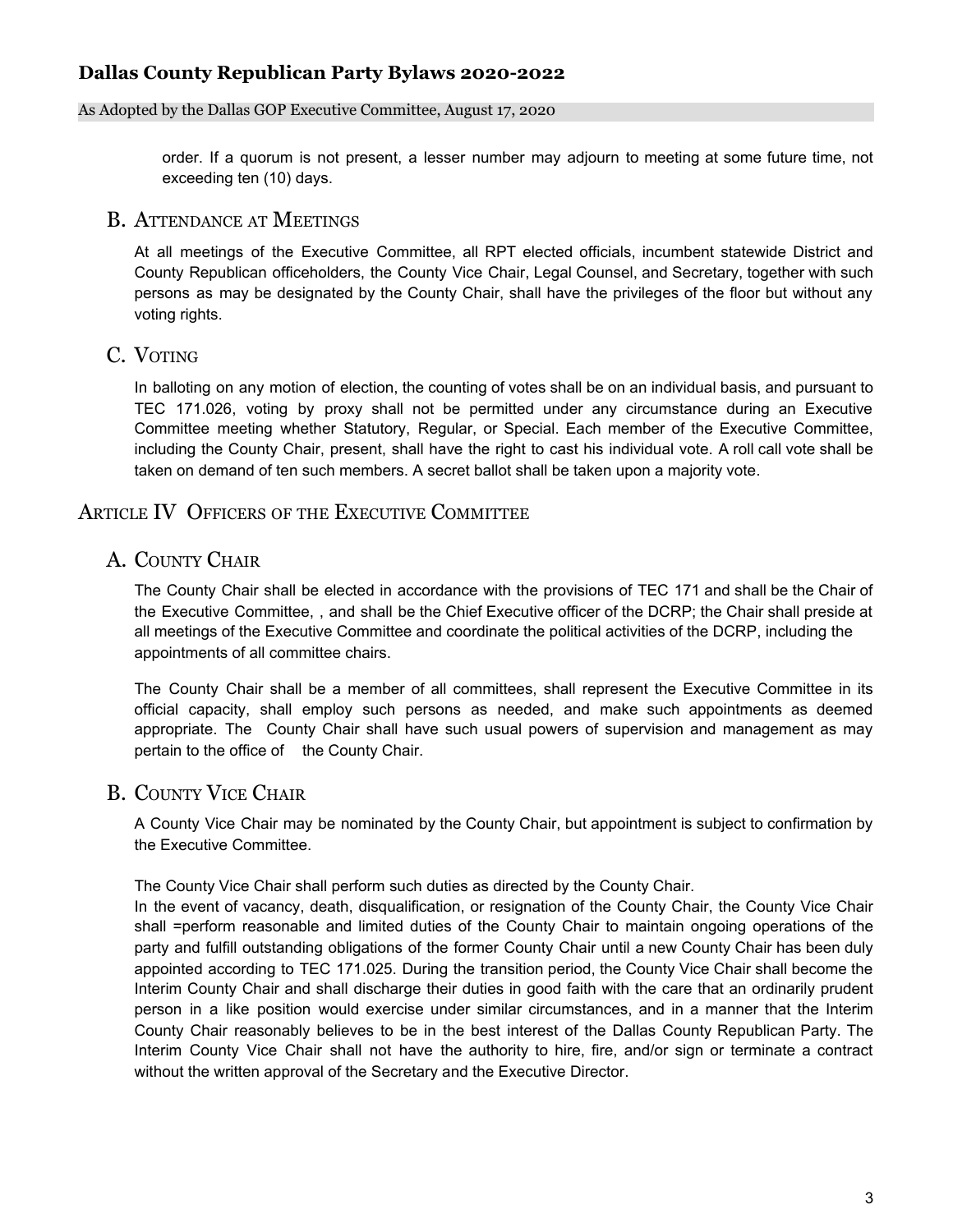#### As Adopted by the Dallas GOP Executive Committee, August 17, 2020

order. If a quorum is not present, a lesser number may adjourn to meeting at some future time, not exceeding ten (10) days.

#### B. ATTENDANCE AT MEETINGS

At all meetings of the Executive Committee, all RPT elected officials, incumbent statewide District and County Republican officeholders, the County Vice Chair, Legal Counsel, and Secretary, together with such persons as may be designated by the County Chair, shall have the privileges of the floor but without any voting rights.

#### C. VOTING

In balloting on any motion of election, the counting of votes shall be on an individual basis, and pursuant to TEC 171.026, voting by proxy shall not be permitted under any circumstance during an Executive Committee meeting whether Statutory, Regular, or Special. Each member of the Executive Committee, including the County Chair, present, shall have the right to cast his individual vote. A roll call vote shall be taken on demand of ten such members. A secret ballot shall be taken upon a majority vote.

## ARTICLE IV OFFICERS OF THE EXECUTIVE COMMITTEE

#### A. COUNTY CHAIR

The County Chair shall be elected in accordance with the provisions of TEC 171 and shall be the Chair of the Executive Committee, , and shall be the Chief Executive officer of the DCRP; the Chair shall preside at all meetings of the Executive Committee and coordinate the political activities of the DCRP, including the appointments of all committee chairs.

The County Chair shall be a member of all committees, shall represent the Executive Committee in its official capacity, shall employ such persons as needed, and make such appointments as deemed appropriate. The County Chair shall have such usual powers of supervision and management as may pertain to the office of the County Chair.

## B. COUNTY VICE CHAIR

A County Vice Chair may be nominated by the County Chair, but appointment is subject to confirmation by the Executive Committee.

The County Vice Chair shall perform such duties as directed by the County Chair.

In the event of vacancy, death, disqualification, or resignation of the County Chair, the County Vice Chair shall =perform reasonable and limited duties of the County Chair to maintain ongoing operations of the party and fulfill outstanding obligations of the former County Chair until a new County Chair has been duly appointed according to TEC 171.025. During the transition period, the County Vice Chair shall become the Interim County Chair and shall discharge their duties in good faith with the care that an ordinarily prudent person in a like position would exercise under similar circumstances, and in a manner that the Interim County Chair reasonably believes to be in the best interest of the Dallas County Republican Party. The Interim County Vice Chair shall not have the authority to hire, fire, and/or sign or terminate a contract without the written approval of the Secretary and the Executive Director.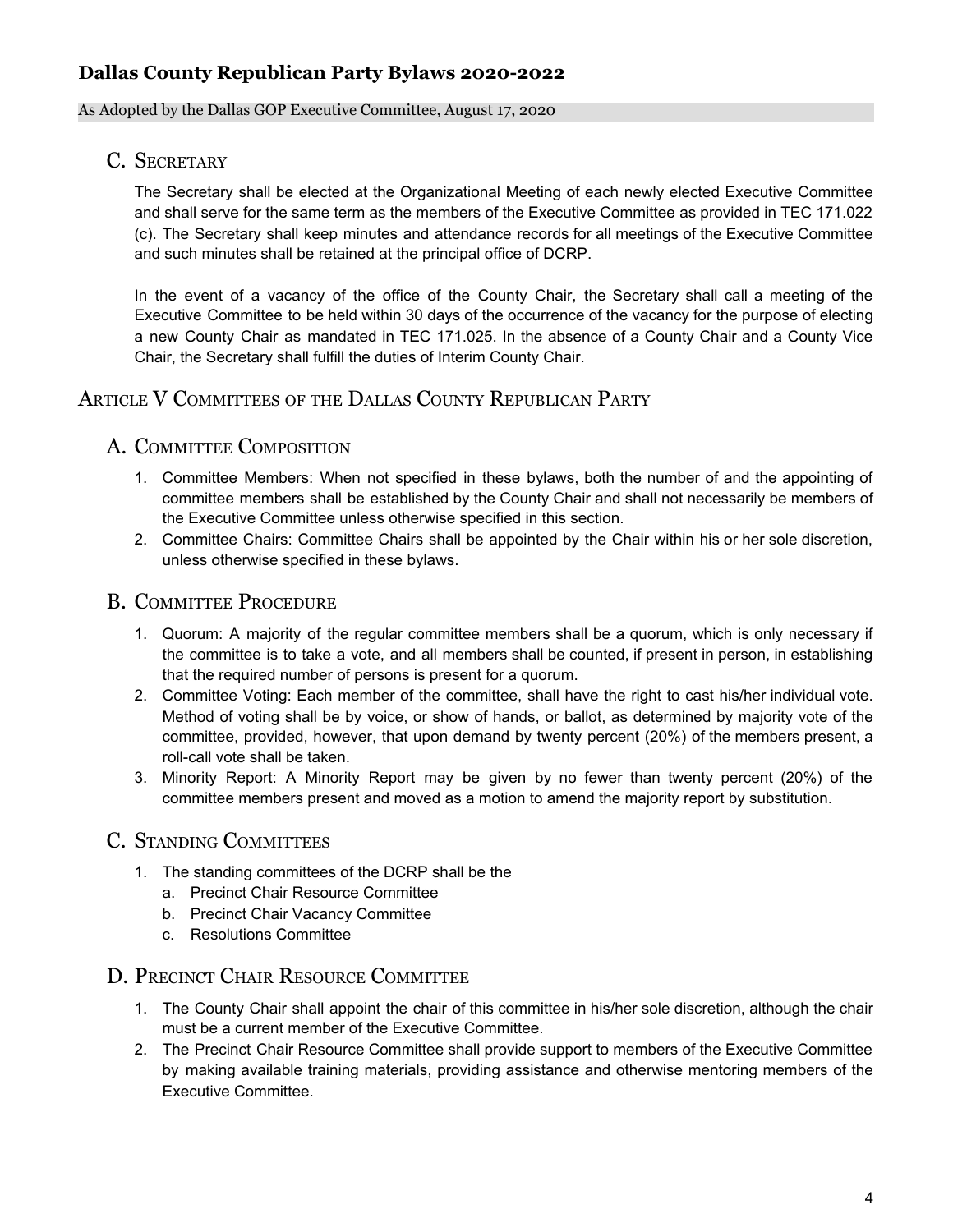#### As Adopted by the Dallas GOP Executive Committee, August 17, 2020

## C. SECRETARY

The Secretary shall be elected at the Organizational Meeting of each newly elected Executive Committee and shall serve for the same term as the members of the Executive Committee as provided in TEC 171.022 (c). The Secretary shall keep minutes and attendance records for all meetings of the Executive Committee and such minutes shall be retained at the principal office of DCRP.

In the event of a vacancy of the office of the County Chair, the Secretary shall call a meeting of the Executive Committee to be held within 30 days of the occurrence of the vacancy for the purpose of electing a new County Chair as mandated in TEC 171.025. In the absence of a County Chair and a County Vice Chair, the Secretary shall fulfill the duties of Interim County Chair.

## ARTICLE V COMMITTEES OF THE DALLAS COUNTY REPUBLICAN PARTY

## A. COMMITTEE COMPOSITION

- 1. Committee Members: When not specified in these bylaws, both the number of and the appointing of committee members shall be established by the County Chair and shall not necessarily be members of the Executive Committee unless otherwise specified in this section.
- 2. Committee Chairs: Committee Chairs shall be appointed by the Chair within his or her sole discretion, unless otherwise specified in these bylaws.

## B. COMMITTEE PROCEDURE

- 1. Quorum: A majority of the regular committee members shall be a quorum, which is only necessary if the committee is to take a vote, and all members shall be counted, if present in person, in establishing that the required number of persons is present for a quorum.
- 2. Committee Voting: Each member of the committee, shall have the right to cast his/her individual vote. Method of voting shall be by voice, or show of hands, or ballot, as determined by majority vote of the committee, provided, however, that upon demand by twenty percent (20%) of the members present, a roll-call vote shall be taken.
- 3. Minority Report: A Minority Report may be given by no fewer than twenty percent (20%) of the committee members present and moved as a motion to amend the majority report by substitution.

# C. STANDING COMMITTEES

- 1. The standing committees of the DCRP shall be the
	- a. Precinct Chair Resource Committee
	- b. Precinct Chair Vacancy Committee
	- c. Resolutions Committee

## D. PRECINCT CHAIR RESOURCE COMMITTEE

- 1. The County Chair shall appoint the chair of this committee in his/her sole discretion, although the chair must be a current member of the Executive Committee.
- 2. The Precinct Chair Resource Committee shall provide support to members of the Executive Committee by making available training materials, providing assistance and otherwise mentoring members of the Executive Committee.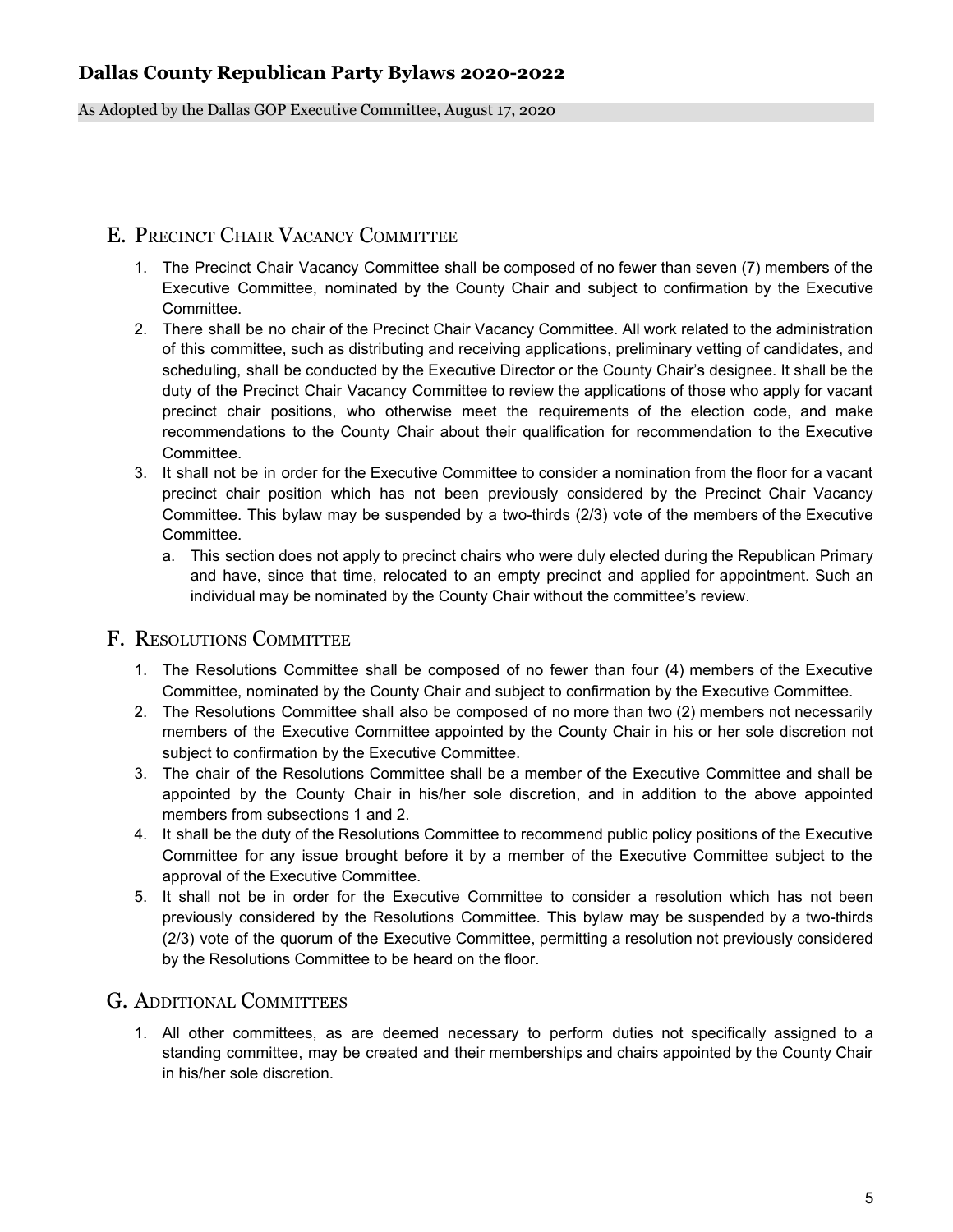As Adopted by the Dallas GOP Executive Committee, August 17, 2020

## E. PRECINCT CHAIR VACANCY COMMITTEE

- 1. The Precinct Chair Vacancy Committee shall be composed of no fewer than seven (7) members of the Executive Committee, nominated by the County Chair and subject to confirmation by the Executive Committee.
- 2. There shall be no chair of the Precinct Chair Vacancy Committee. All work related to the administration of this committee, such as distributing and receiving applications, preliminary vetting of candidates, and scheduling, shall be conducted by the Executive Director or the County Chair's designee. It shall be the duty of the Precinct Chair Vacancy Committee to review the applications of those who apply for vacant precinct chair positions, who otherwise meet the requirements of the election code, and make recommendations to the County Chair about their qualification for recommendation to the Executive Committee.
- 3. It shall not be in order for the Executive Committee to consider a nomination from the floor for a vacant precinct chair position which has not been previously considered by the Precinct Chair Vacancy Committee. This bylaw may be suspended by a two-thirds (2/3) vote of the members of the Executive Committee.
	- a. This section does not apply to precinct chairs who were duly elected during the Republican Primary and have, since that time, relocated to an empty precinct and applied for appointment. Such an individual may be nominated by the County Chair without the committee's review.

## F. RESOLUTIONS COMMITTEE

- 1. The Resolutions Committee shall be composed of no fewer than four (4) members of the Executive Committee, nominated by the County Chair and subject to confirmation by the Executive Committee.
- 2. The Resolutions Committee shall also be composed of no more than two (2) members not necessarily members of the Executive Committee appointed by the County Chair in his or her sole discretion not subject to confirmation by the Executive Committee.
- 3. The chair of the Resolutions Committee shall be a member of the Executive Committee and shall be appointed by the County Chair in his/her sole discretion, and in addition to the above appointed members from subsections 1 and 2.
- 4. It shall be the duty of the Resolutions Committee to recommend public policy positions of the Executive Committee for any issue brought before it by a member of the Executive Committee subject to the approval of the Executive Committee.
- 5. It shall not be in order for the Executive Committee to consider a resolution which has not been previously considered by the Resolutions Committee. This bylaw may be suspended by a two-thirds (2/3) vote of the quorum of the Executive Committee, permitting a resolution not previously considered by the Resolutions Committee to be heard on the floor.

## G. ADDITIONAL COMMITTEES

1. All other committees, as are deemed necessary to perform duties not specifically assigned to a standing committee, may be created and their memberships and chairs appointed by the County Chair in his/her sole discretion.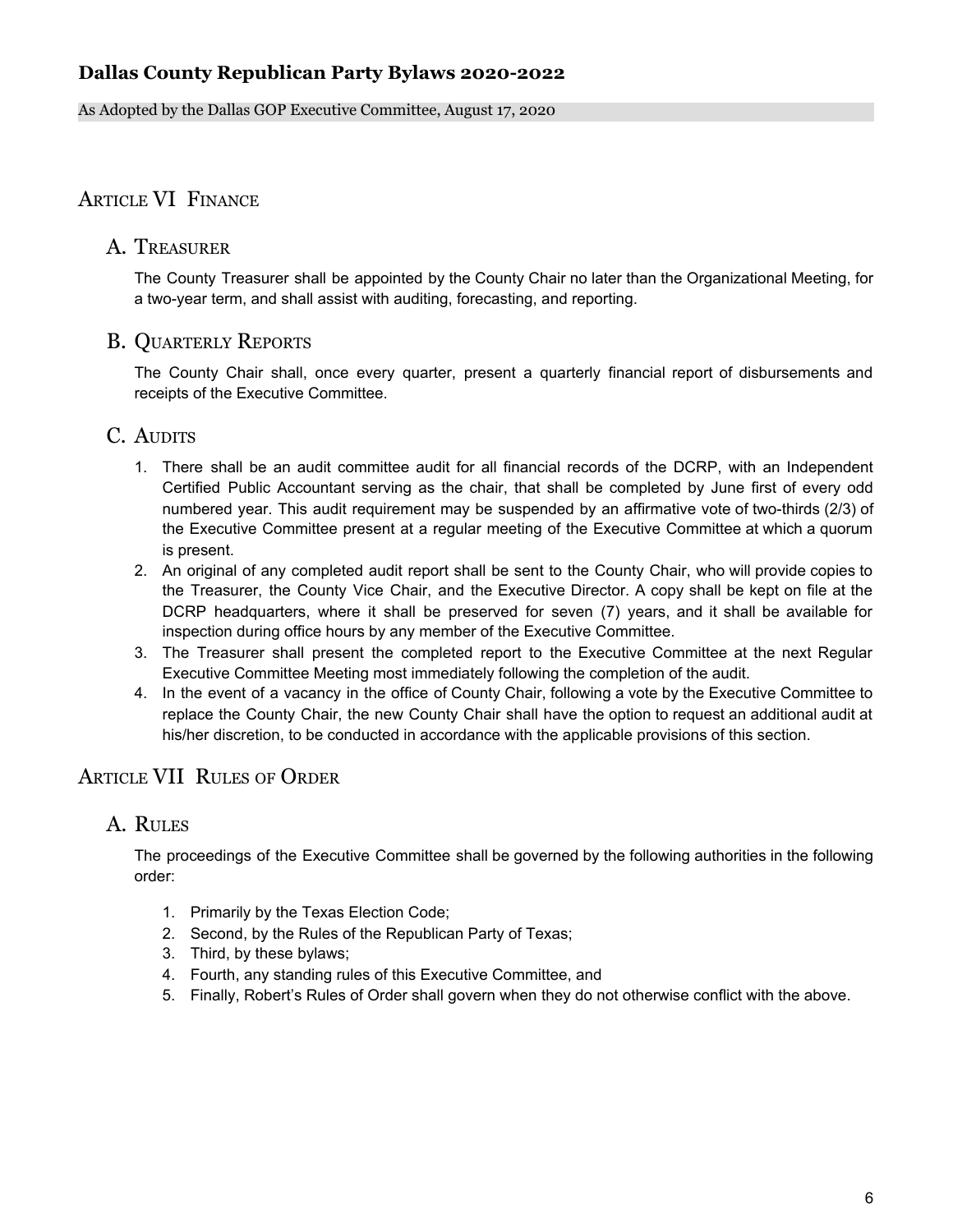As Adopted by the Dallas GOP Executive Committee, August 17, 2020

# ARTICLE VI FINANCE

#### A. TREASURER

The County Treasurer shall be appointed by the County Chair no later than the Organizational Meeting, for a two-year term, and shall assist with auditing, forecasting, and reporting.

#### B. QUARTERLY REPORTS

The County Chair shall, once every quarter, present a quarterly financial report of disbursements and receipts of the Executive Committee.

## C. AUDITS

- 1. There shall be an audit committee audit for all financial records of the DCRP, with an Independent Certified Public Accountant serving as the chair, that shall be completed by June first of every odd numbered year. This audit requirement may be suspended by an affirmative vote of two-thirds (2/3) of the Executive Committee present at a regular meeting of the Executive Committee at which a quorum is present.
- 2. An original of any completed audit report shall be sent to the County Chair, who will provide copies to the Treasurer, the County Vice Chair, and the Executive Director. A copy shall be kept on file at the DCRP headquarters, where it shall be preserved for seven (7) years, and it shall be available for inspection during office hours by any member of the Executive Committee.
- 3. The Treasurer shall present the completed report to the Executive Committee at the next Regular Executive Committee Meeting most immediately following the completion of the audit.
- 4. In the event of a vacancy in the office of County Chair, following a vote by the Executive Committee to replace the County Chair, the new County Chair shall have the option to request an additional audit at his/her discretion, to be conducted in accordance with the applicable provisions of this section.

# ARTICLE VII RULES OF ORDER

## A. RULES

The proceedings of the Executive Committee shall be governed by the following authorities in the following order:

- 1. Primarily by the Texas Election Code;
- 2. Second, by the Rules of the Republican Party of Texas;
- 3. Third, by these bylaws;
- 4. Fourth, any standing rules of this Executive Committee, and
- 5. Finally, Robert's Rules of Order shall govern when they do not otherwise conflict with the above.